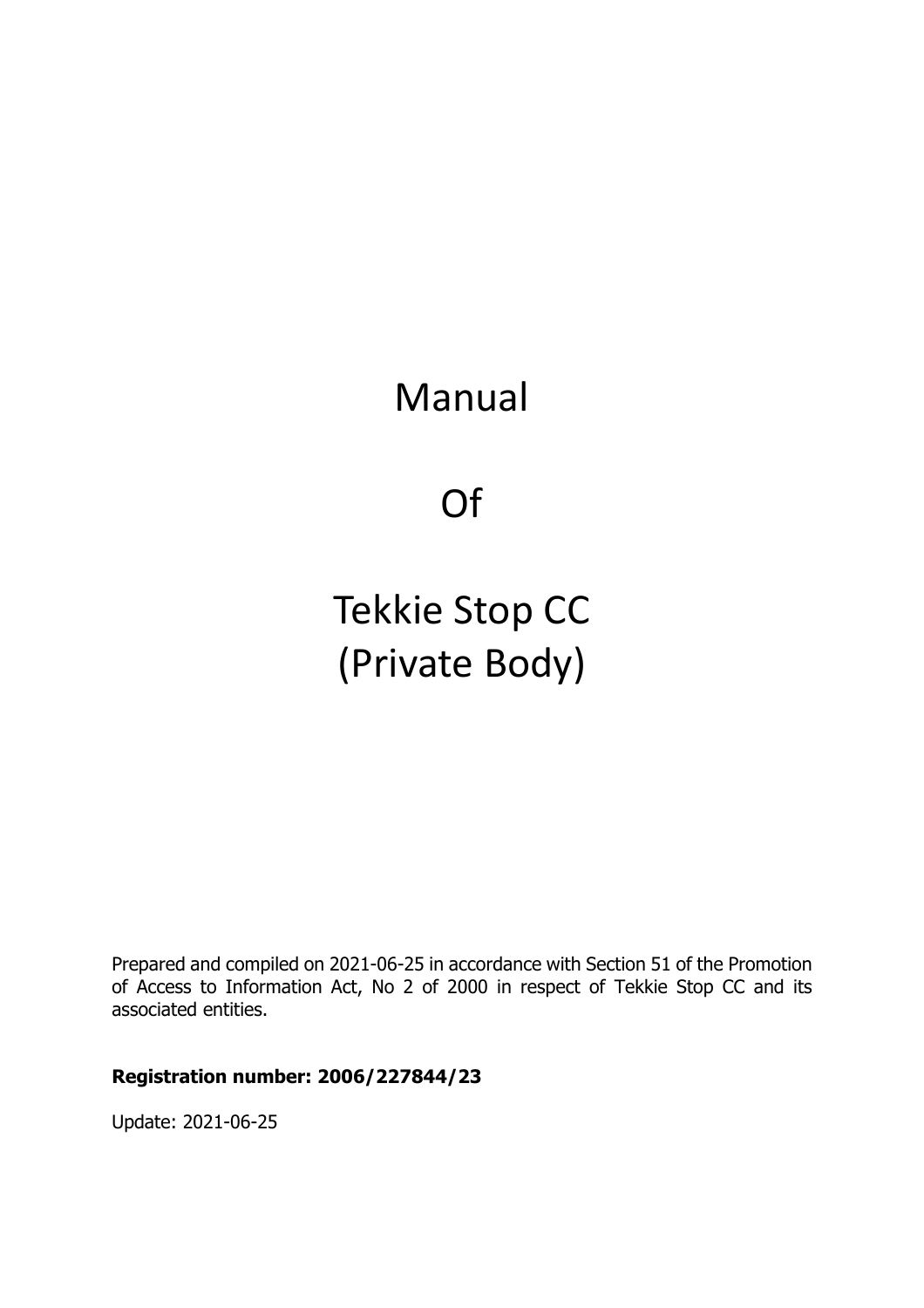# Manual

Of

# Tekkie Stop CC (Private Body)

Prepared and compiled on 2021-06-25 in accordance with Section 51 of the Promotion of Access to Information Act, No 2 of 2000 in respect of Tekkie Stop CC and its associated entities.

#### **Registration number: 2006/227844/23**

Update: 2021-06-25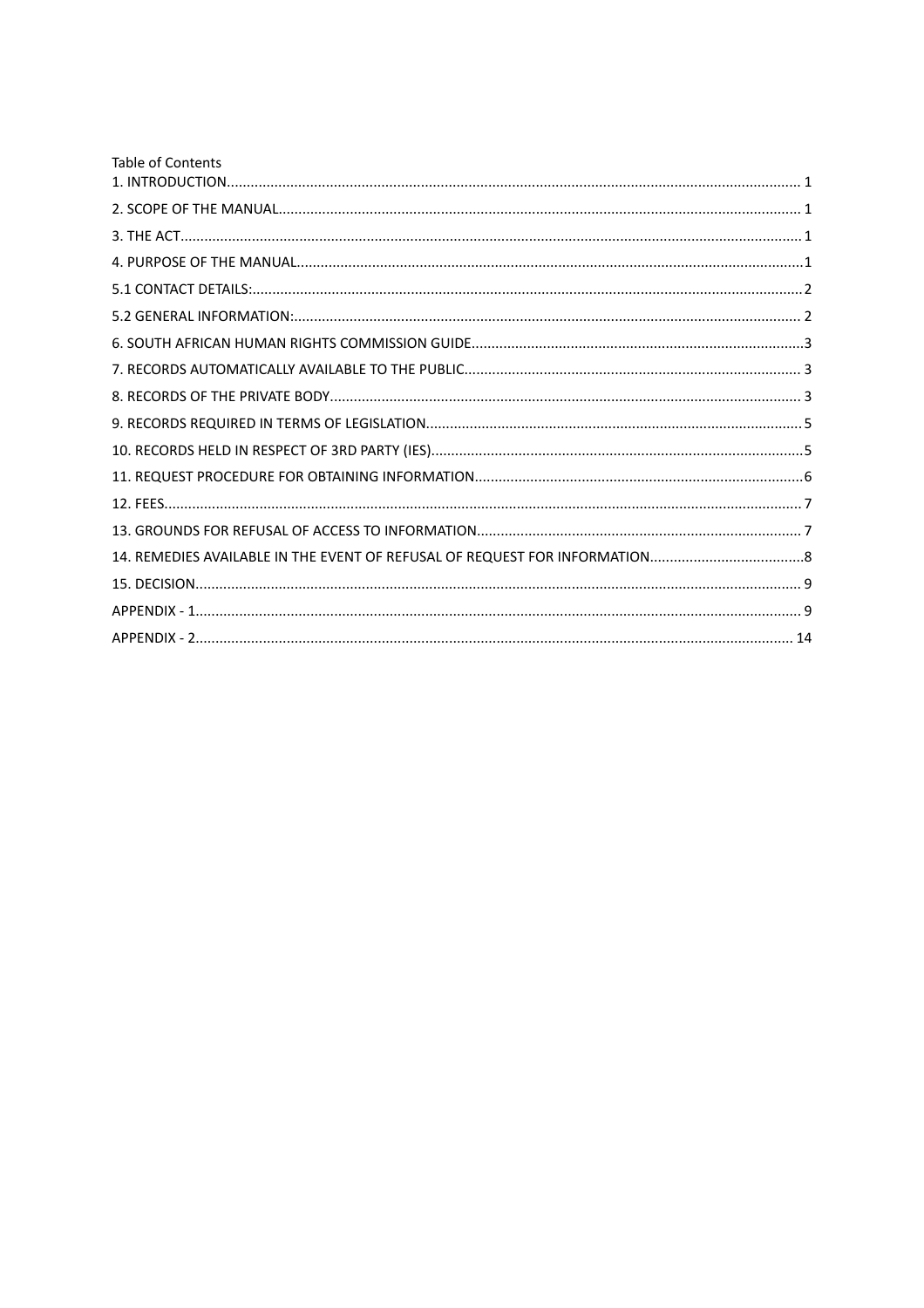| <b>Table of Contents</b> |  |
|--------------------------|--|
|                          |  |
|                          |  |
|                          |  |
|                          |  |
|                          |  |
|                          |  |
|                          |  |
|                          |  |
|                          |  |
|                          |  |
|                          |  |
|                          |  |
|                          |  |
|                          |  |
|                          |  |
|                          |  |
|                          |  |
|                          |  |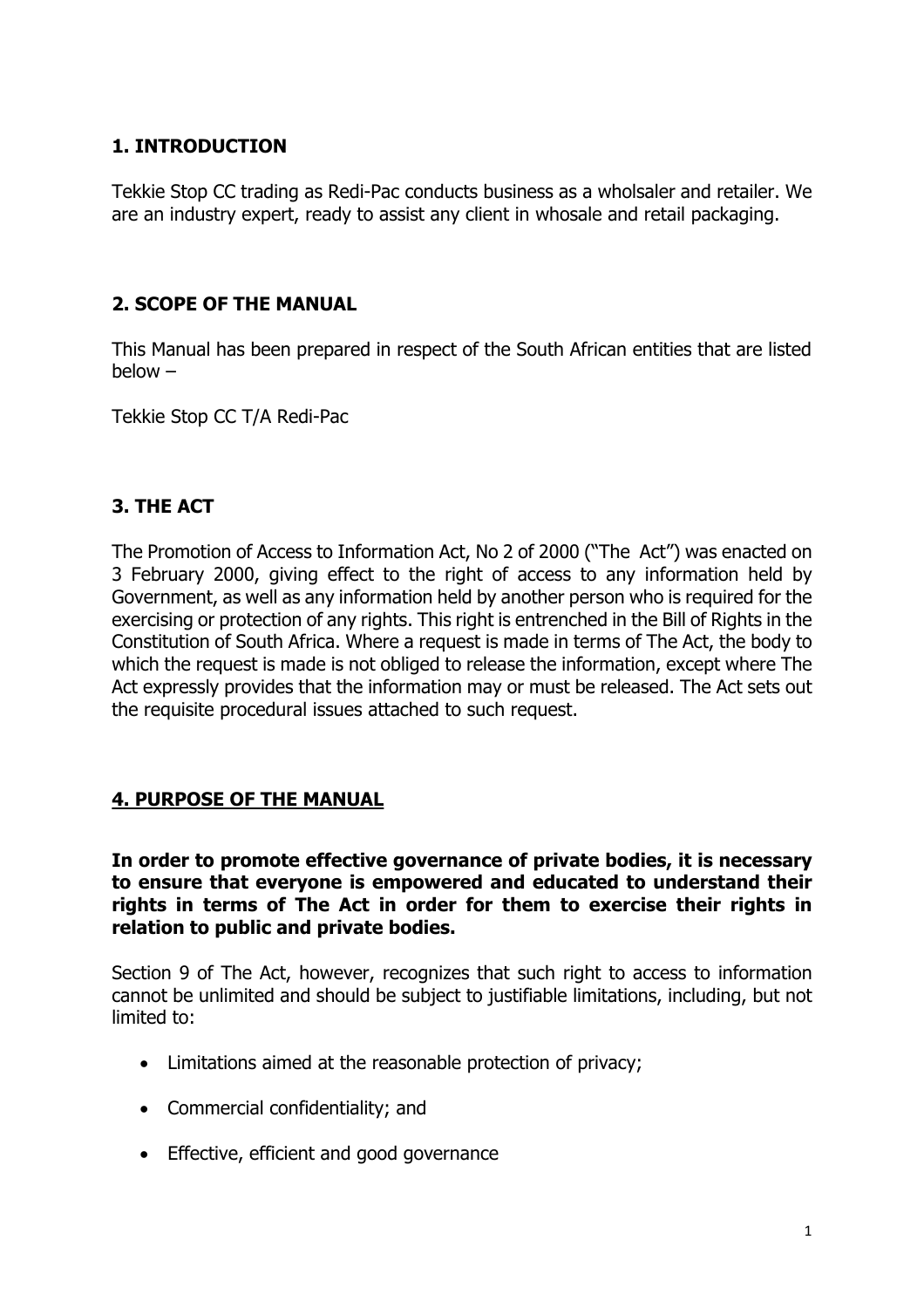# <span id="page-2-0"></span>**1. INTRODUCTION**

Tekkie Stop CC trading as Redi-Pac conducts business as a wholsaler and retailer. We are an industry expert, ready to assist any client in whosale and retail packaging.

# <span id="page-2-1"></span>**2. SCOPE OF THE MANUAL**

This Manual has been prepared in respect of the South African entities that are listed below –

Tekkie Stop CC T/A Redi-Pac

# <span id="page-2-2"></span>**3. THE ACT**

The Promotion of Access to Information Act, No 2 of 2000 ("The Act") was enacted on 3 February 2000, giving effect to the right of access to any information held by Government, as well as any information held by another person who is required for the exercising or protection of any rights. This right is entrenched in the Bill of Rights in the Constitution of South Africa. Where a request is made in terms of The Act, the body to which the request is made is not obliged to release the information, except where The Act expressly provides that the information may or must be released. The Act sets out the requisite procedural issues attached to such request.

# <span id="page-2-3"></span>**4. PURPOSE OF THE MANUAL**

#### **In order to promote effective governance of private bodies, it is necessary to ensure that everyone is empowered and educated to understand their rights in terms of The Act in order for them to exercise their rights in relation to public and private bodies.**

Section 9 of The Act, however, recognizes that such right to access to information cannot be unlimited and should be subject to justifiable limitations, including, but not limited to:

- Limitations aimed at the reasonable protection of privacy;
- Commercial confidentiality; and
- **Effective, efficient and good governance**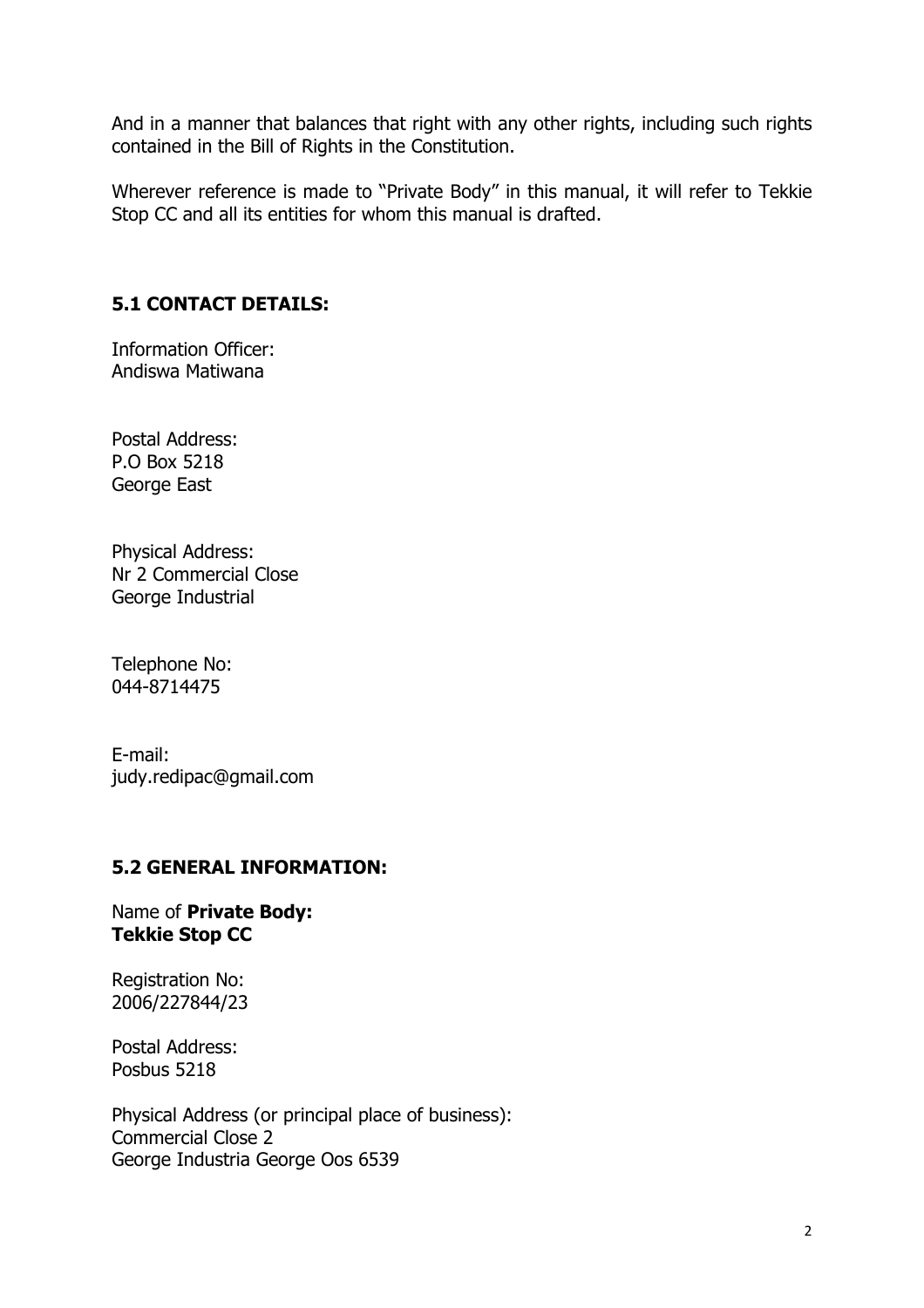And in a manner that balances that right with any other rights, including such rights contained in the Bill of Rights in the Constitution.

Wherever reference is made to "Private Body" in this manual, it will refer to Tekkie Stop CC and all its entities for whom this manual is drafted.

# <span id="page-3-0"></span>**5.1 CONTACT DETAILS:**

Information Officer: Andiswa Matiwana

Postal Address: P.O Box 5218 George East

Physical Address: Nr 2 Commercial Close George Industrial

Telephone No: 044-8714475

E-mail: judy.redipac@gmail.com

#### <span id="page-3-1"></span>**5.2 GENERAL INFORMATION:**

Name of **Private Body: Tekkie Stop CC**

Registration No: 2006/227844/23

Postal Address: Posbus 5218

Physical Address (or principal place of business): Commercial Close 2 George Industria George Oos 6539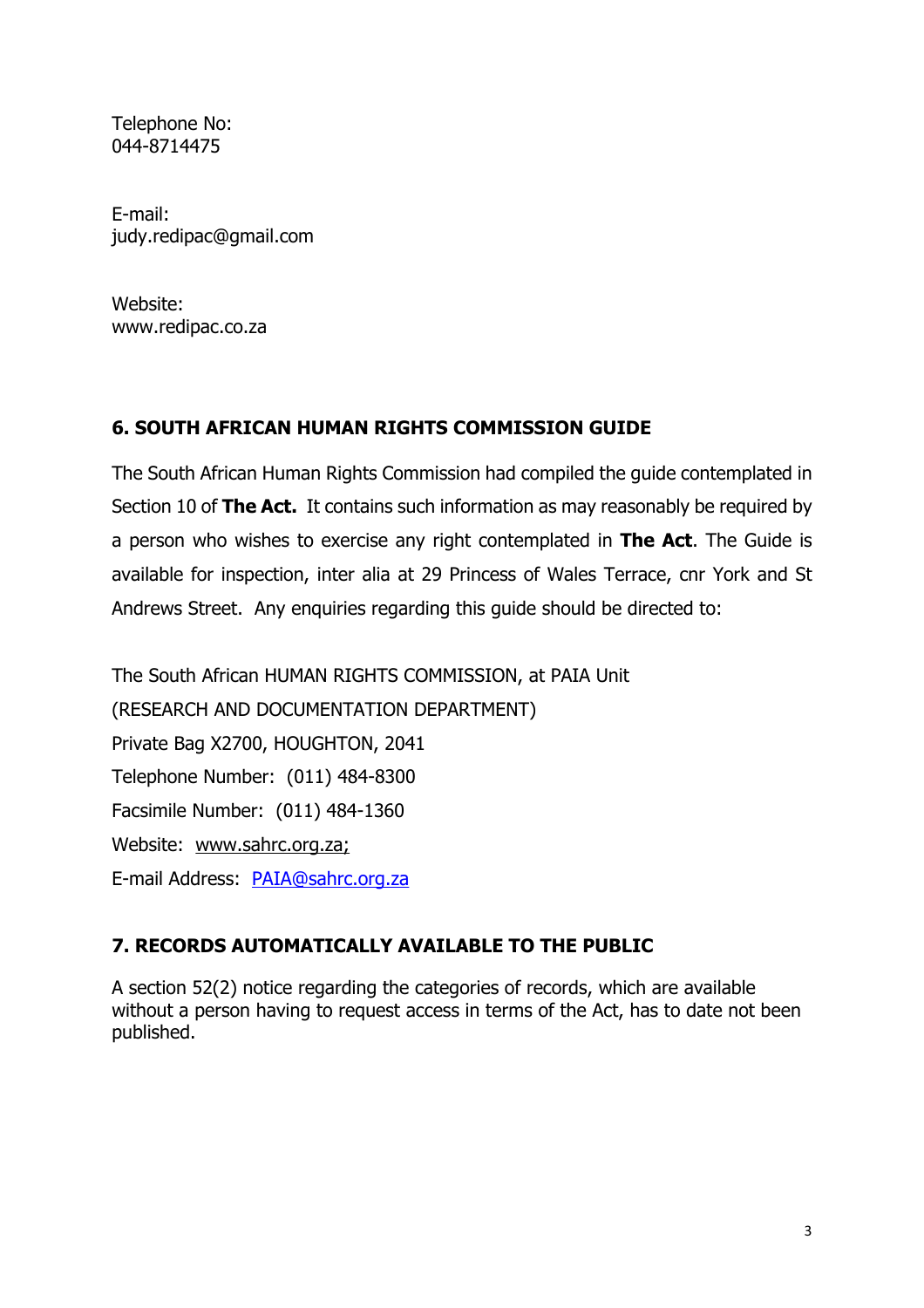Telephone No: 044-8714475

E-mail: judy.redipac@gmail.com

Website: www.redipac.co.za

# <span id="page-4-0"></span>**6. SOUTH AFRICAN HUMAN RIGHTS COMMISSION GUIDE**

The South African Human Rights Commission had compiled the guide contemplated in Section 10 of **The Act.** It contains such information as may reasonably be required by a person who wishes to exercise any right contemplated in **The Act**. The Guide is available for inspection, inter alia at 29 Princess of Wales Terrace, cnr York and St Andrews Street. Any enquiries regarding this guide should be directed to:

The South African HUMAN RIGHTS COMMISSION, at PAIA Unit (RESEARCH AND DOCUMENTATION DEPARTMENT) Private Bag X2700, HOUGHTON, 2041 Telephone Number: (011) 484-8300 Facsimile Number: (011) 484-1360 Website: www.sahrc.org.za; E-mail Address: [PAIA@sahrc.org.za](mailto:PAIA@sahrc.org.za)

# <span id="page-4-1"></span>**7. RECORDS AUTOMATICALLY AVAILABLE TO THE PUBLIC**

A section 52(2) notice regarding the categories of records, which are available without a person having to request access in terms of the Act, has to date not been published.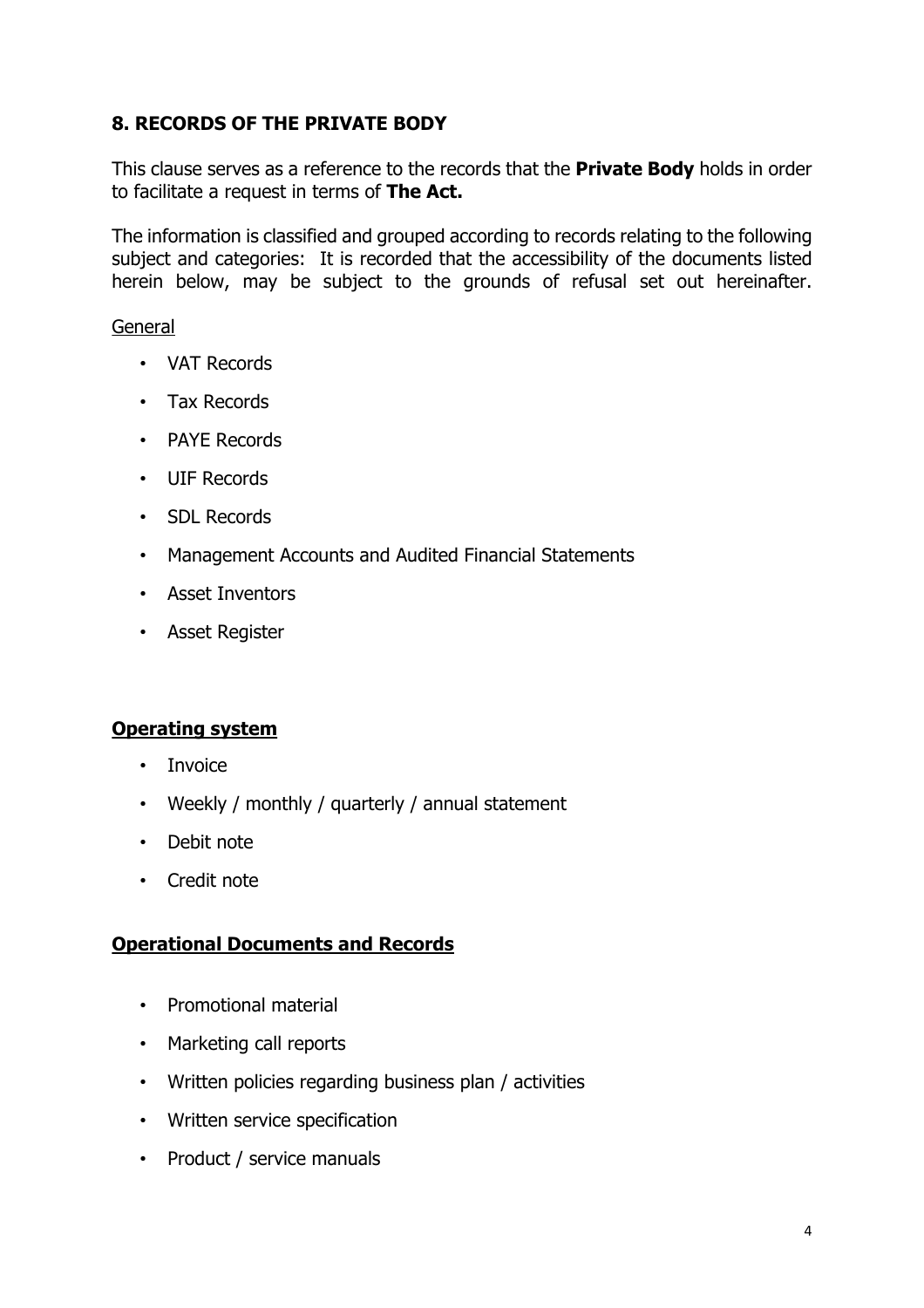# <span id="page-5-0"></span>**8. RECORDS OF THE PRIVATE BODY**

This clause serves as a reference to the records that the **Private Body** holds in order to facilitate a request in terms of **The Act.**

The information is classified and grouped according to records relating to the following subject and categories: It is recorded that the accessibility of the documents listed herein below, may be subject to the grounds of refusal set out hereinafter.

#### General

- VAT Records
- Tax Records
- PAYE Records
- UIF Records
- SDL Records
- Management Accounts and Audited Financial Statements
- Asset Inventors
- Asset Register

# **Operating system**

- Invoice
- Weekly / monthly / quarterly / annual statement
- Debit note
- Credit note

# **Operational Documents and Records**

- Promotional material
- Marketing call reports
- Written policies regarding business plan / activities
- Written service specification
- Product / service manuals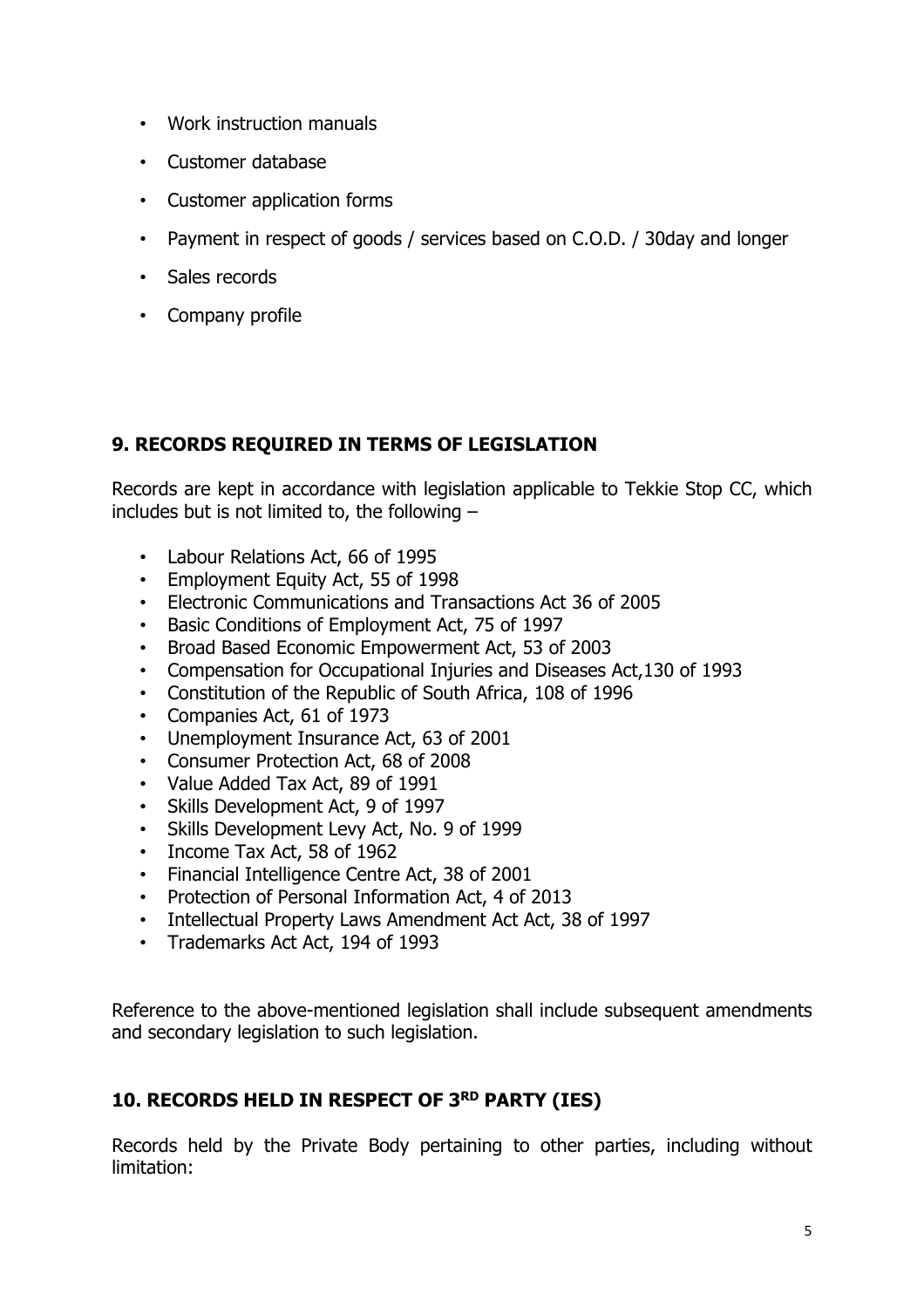- Work instruction manuals
- Customer database
- Customer application forms
- Payment in respect of goods / services based on C.O.D. / 30day and longer
- Sales records
- Company profile

# <span id="page-6-0"></span>**9. RECORDS REQUIRED IN TERMS OF LEGISLATION**

Records are kept in accordance with legislation applicable to Tekkie Stop CC, which includes but is not limited to, the following –

- Labour Relations Act, 66 of 1995
- Employment Equity Act, 55 of 1998
- Electronic Communications and Transactions Act 36 of 2005
- Basic Conditions of Employment Act, 75 of 1997
- Broad Based Economic Empowerment Act, 53 of 2003
- Compensation for Occupational Injuries and Diseases Act,130 of 1993
- Constitution of the Republic of South Africa, 108 of 1996
- Companies Act, 61 of 1973
- Unemployment Insurance Act, 63 of 2001
- Consumer Protection Act, 68 of 2008
- Value Added Tax Act, 89 of 1991
- Skills Development Act, 9 of 1997
- Skills Development Levy Act, No. 9 of 1999
- Income Tax Act, 58 of 1962
- Financial Intelligence Centre Act, 38 of 2001
- Protection of Personal Information Act, 4 of 2013
- Intellectual Property Laws Amendment Act Act, 38 of 1997
- Trademarks Act Act, 194 of 1993

Reference to the above-mentioned legislation shall include subsequent amendments and secondary legislation to such legislation.

# <span id="page-6-1"></span>**10. RECORDS HELD IN RESPECT OF 3 RD PARTY (IES)**

Records held by the Private Body pertaining to other parties, including without limitation: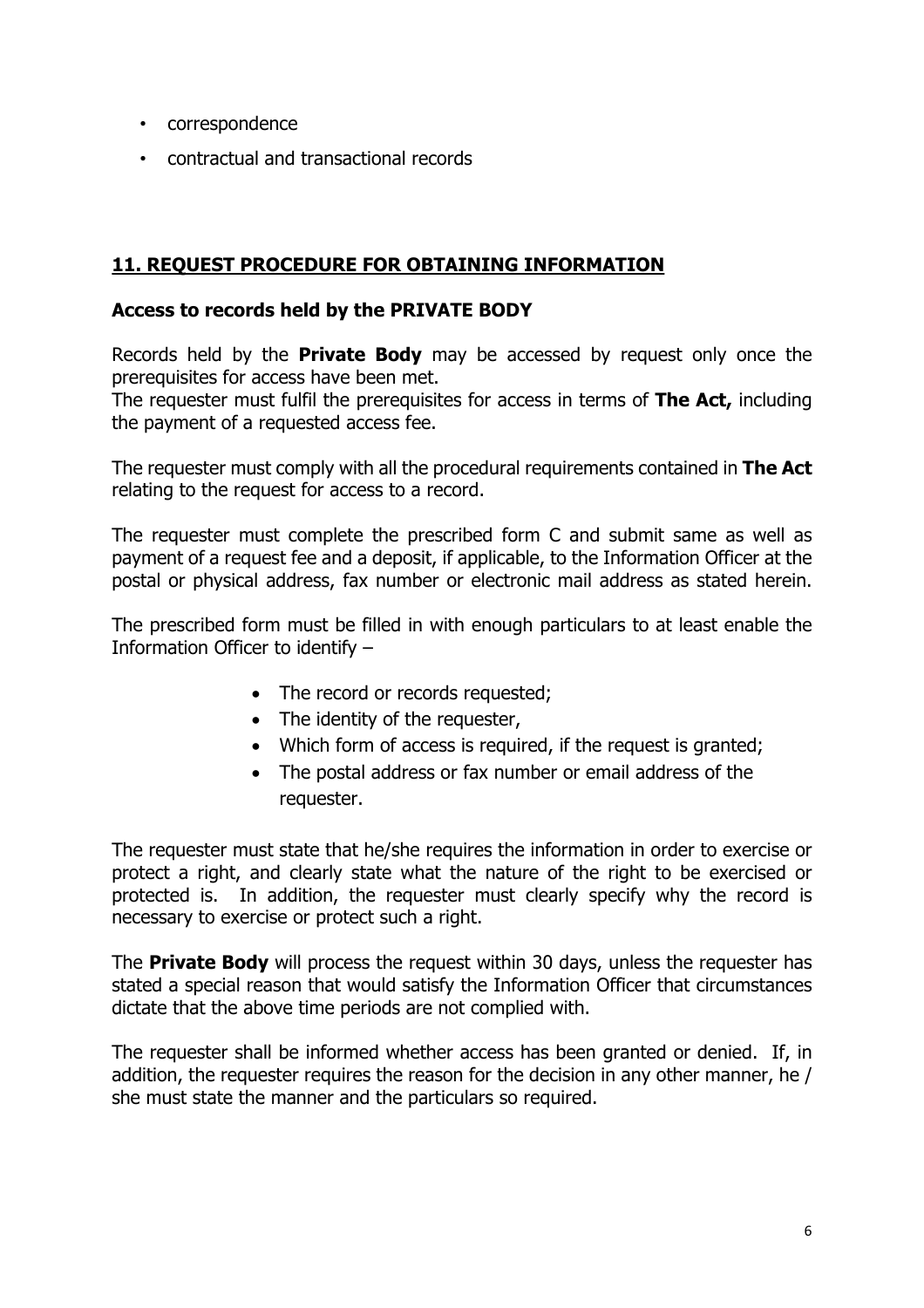- correspondence
- contractual and transactional records

# <span id="page-7-0"></span>**11. REQUEST PROCEDURE FOR OBTAINING INFORMATION**

#### **Access to records held by the PRIVATE BODY**

Records held by the **Private Body** may be accessed by request only once the prerequisites for access have been met.

The requester must fulfil the prerequisites for access in terms of **The Act,** including the payment of a requested access fee.

The requester must comply with all the procedural requirements contained in **The Act** relating to the request for access to a record.

The requester must complete the prescribed form C and submit same as well as payment of a request fee and a deposit, if applicable, to the Information Officer at the postal or physical address, fax number or electronic mail address as stated herein.

The prescribed form must be filled in with enough particulars to at least enable the Information Officer to identify –

- The record or records requested;
- The identity of the requester,
- Which form of access is required, if the request is granted;
- The postal address or fax number or email address of the requester.

The requester must state that he/she requires the information in order to exercise or protect a right, and clearly state what the nature of the right to be exercised or protected is. In addition, the requester must clearly specify why the record is necessary to exercise or protect such a right.

The **Private Body** will process the request within 30 days, unless the requester has stated a special reason that would satisfy the Information Officer that circumstances dictate that the above time periods are not complied with.

The requester shall be informed whether access has been granted or denied. If, in addition, the requester requires the reason for the decision in any other manner, he / she must state the manner and the particulars so required.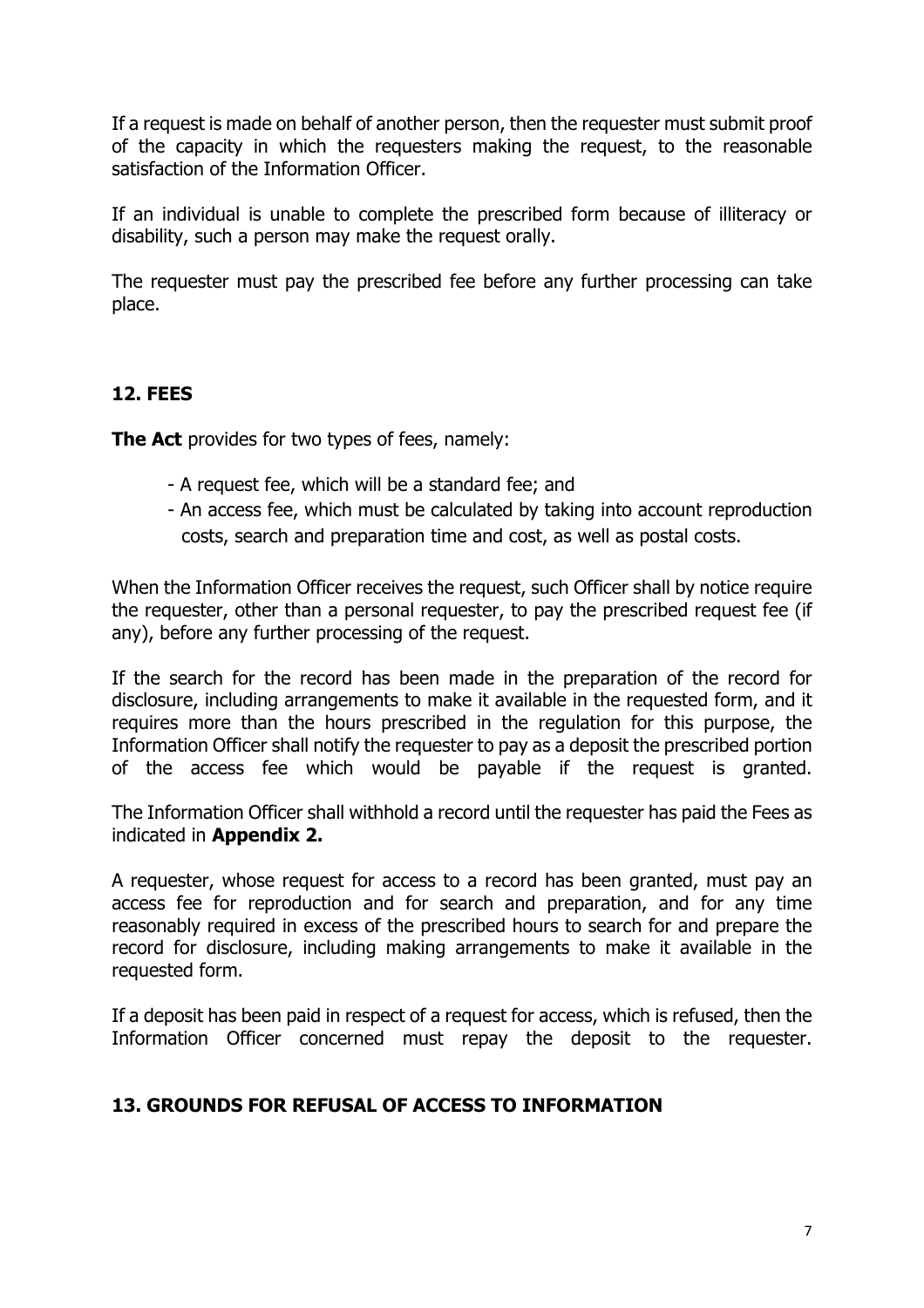If a request is made on behalf of another person, then the requester must submit proof of the capacity in which the requesters making the request, to the reasonable satisfaction of the Information Officer.

If an individual is unable to complete the prescribed form because of illiteracy or disability, such a person may make the request orally.

The requester must pay the prescribed fee before any further processing can take place.

### <span id="page-8-0"></span>**12. FEES**

**The Act** provides for two types of fees, namely:

- A request fee, which will be a standard fee; and
- An access fee, which must be calculated by taking into account reproduction costs, search and preparation time and cost, as well as postal costs.

When the Information Officer receives the request, such Officer shall by notice require the requester, other than a personal requester, to pay the prescribed request fee (if any), before any further processing of the request.

If the search for the record has been made in the preparation of the record for disclosure, including arrangements to make it available in the requested form, and it requires more than the hours prescribed in the regulation for this purpose, the Information Officer shall notify the requester to pay as a deposit the prescribed portion of the access fee which would be payable if the request is granted.

The Information Officer shall withhold a record until the requester has paid the Fees as indicated in **Appendix 2.**

A requester, whose request for access to a record has been granted, must pay an access fee for reproduction and for search and preparation, and for any time reasonably required in excess of the prescribed hours to search for and prepare the record for disclosure, including making arrangements to make it available in the requested form.

If a deposit has been paid in respect of a request for access, which is refused, then the Information Officer concerned must repay the deposit to the requester.

#### <span id="page-8-1"></span>**13. GROUNDS FOR REFUSAL OF ACCESS TO INFORMATION**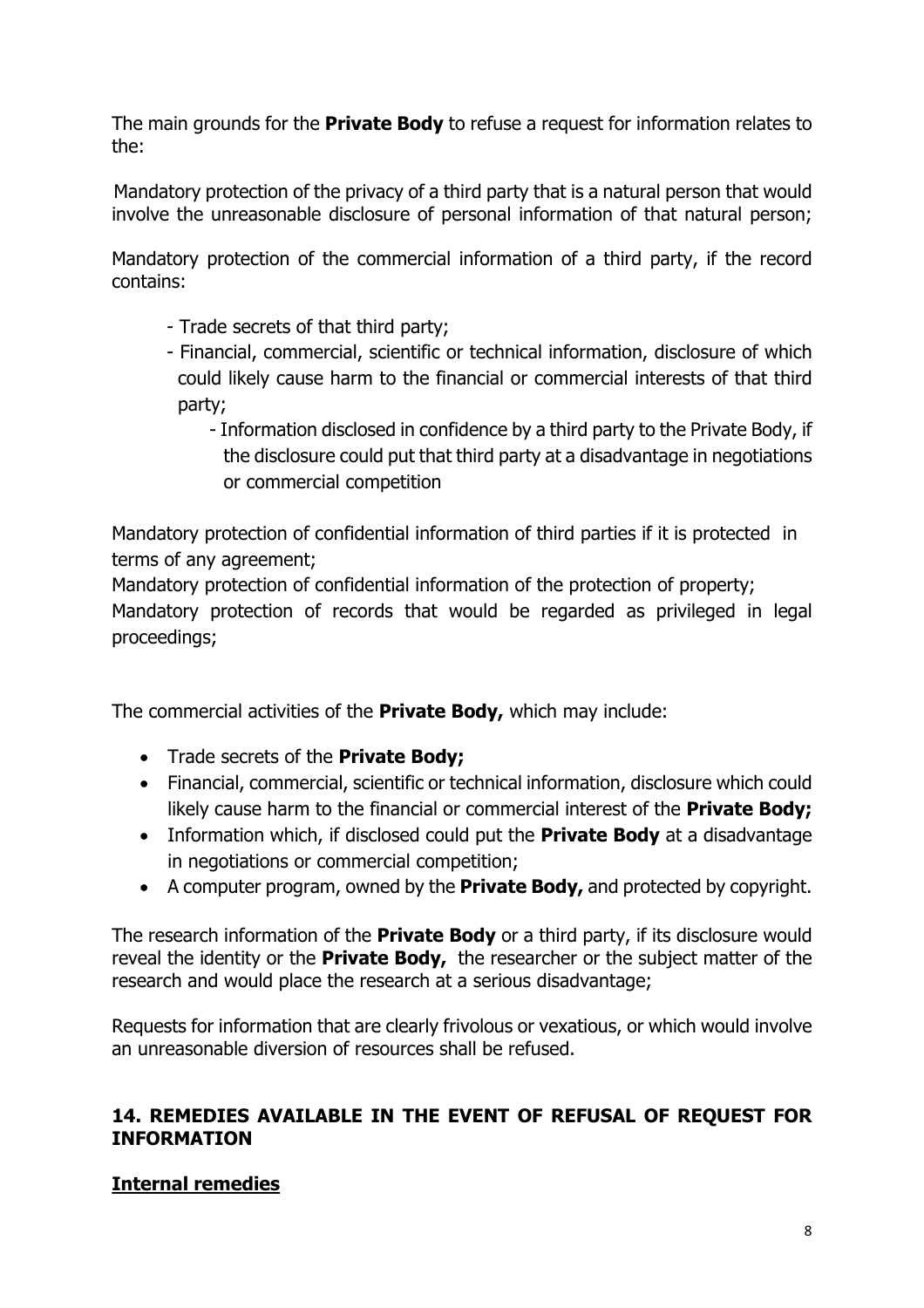The main grounds for the **Private Body** to refuse a request for information relates to the:

Mandatory protection of the privacy of a third party that is a natural person that would involve the unreasonable disclosure of personal information of that natural person;

Mandatory protection of the commercial information of a third party, if the record contains:

- Trade secrets of that third party;
- Financial, commercial, scientific or technical information, disclosure of which could likely cause harm to the financial or commercial interests of that third party;
	- Information disclosed in confidence by a third party to the Private Body, if the disclosure could put that third party at a disadvantage in negotiations or commercial competition

Mandatory protection of confidential information of third parties if it is protected in terms of any agreement;

Mandatory protection of confidential information of the protection of property;

Mandatory protection of records that would be regarded as privileged in legal proceedings;

The commercial activities of the **Private Body,** which may include:

- Trade secrets of the **Private Body;**
- Financial, commercial, scientific or technical information, disclosure which could likely cause harm to the financial or commercial interest of the **Private Body;**
- Information which, if disclosed could put the **Private Body** at a disadvantage in negotiations or commercial competition;
- A computer program, owned by the **Private Body,** and protected by copyright.

The research information of the **Private Body** or a third party, if its disclosure would reveal the identity or the **Private Body,** the researcher or the subject matter of the research and would place the research at a serious disadvantage;

Requests for information that are clearly frivolous or vexatious, or which would involve an unreasonable diversion of resources shall be refused.

### <span id="page-9-0"></span>**14. REMEDIES AVAILABLE IN THE EVENT OF REFUSAL OF REQUEST FOR INFORMATION**

# **Internal remedies**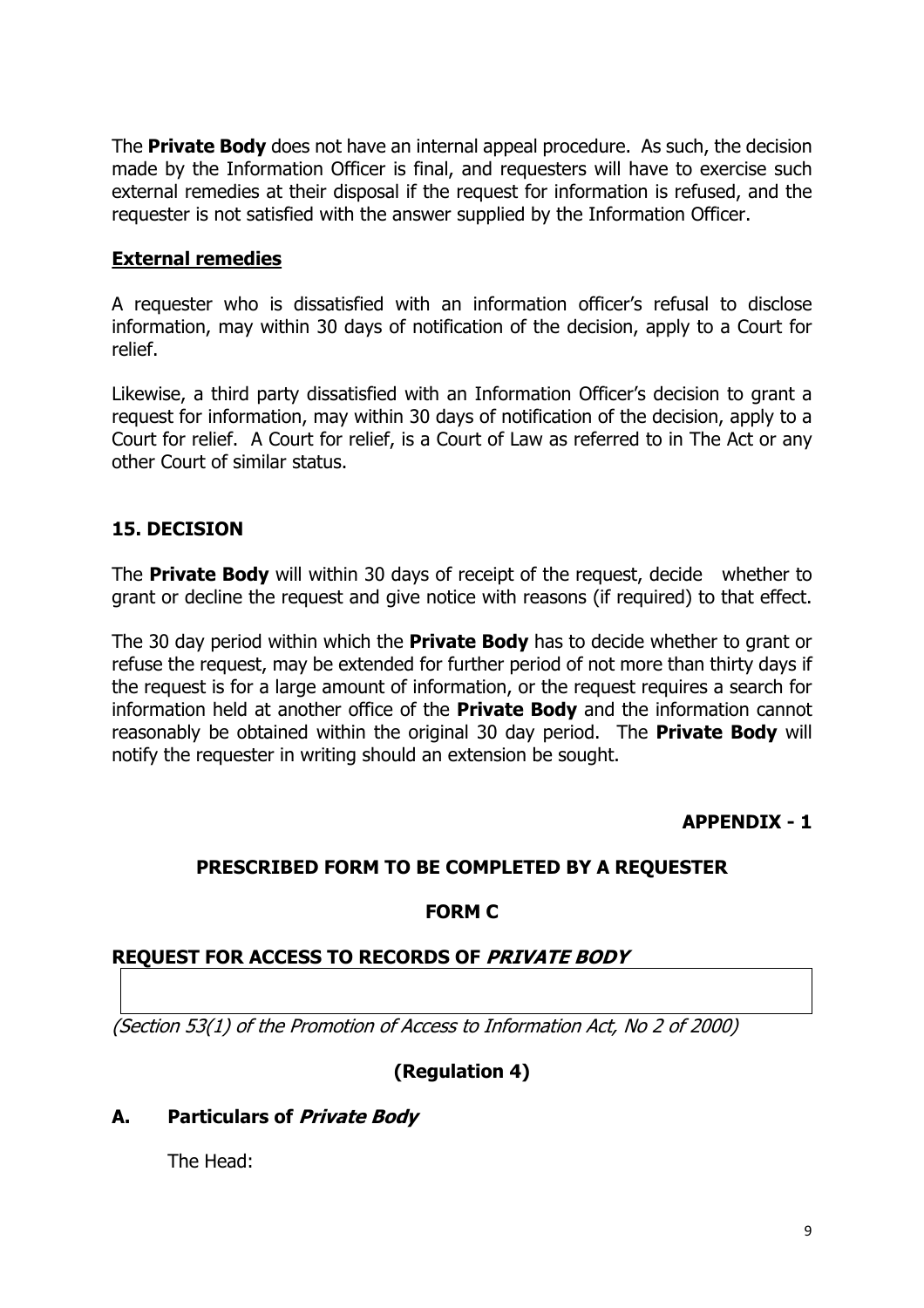The **Private Body** does not have an internal appeal procedure. As such, the decision made by the Information Officer is final, and requesters will have to exercise such external remedies at their disposal if the request for information is refused, and the requester is not satisfied with the answer supplied by the Information Officer.

#### **External remedies**

A requester who is dissatisfied with an information officer's refusal to disclose information, may within 30 days of notification of the decision, apply to a Court for relief.

Likewise, a third party dissatisfied with an Information Officer's decision to grant a request for information, may within 30 days of notification of the decision, apply to a Court for relief. A Court for relief, is a Court of Law as referred to in The Act or any other Court of similar status.

# <span id="page-10-0"></span>**15. DECISION**

The **Private Body** will within 30 days of receipt of the request, decide whether to grant or decline the request and give notice with reasons (if required) to that effect.

The 30 day period within which the **Private Body** has to decide whether to grant or refuse the request, may be extended for further period of not more than thirty days if the request is for a large amount of information, or the request requires a search for information held at another office of the **Private Body** and the information cannot reasonably be obtained within the original 30 day period. The **Private Body** will notify the requester in writing should an extension be sought.

#### **APPENDIX - 1**

#### <span id="page-10-1"></span>**PRESCRIBED FORM TO BE COMPLETED BY A REQUESTER**

#### **FORM C**

#### **REQUEST FOR ACCESS TO RECORDS OF** *PRIVATE BODY*

*(Section 53(1) of the Promotion of Access to Information Act, No 2 of 2000)*

#### **(Regulation 4)**

#### **A. Particulars of** *Private Body*

The Head: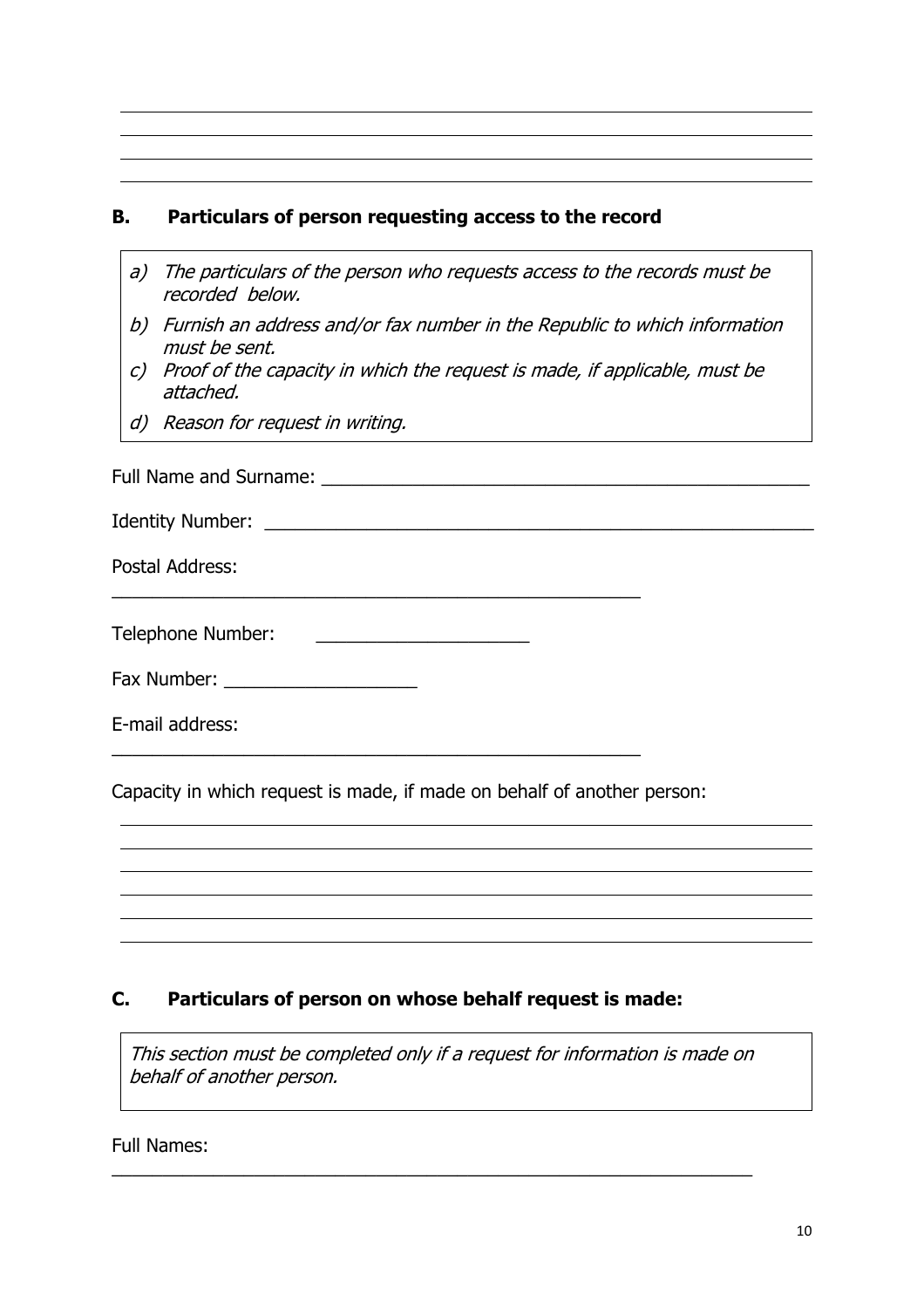#### **B. Particulars of person requesting access to the record**

- *a) The particulars of the person who requests access to the records must be recorded below.*
- *b) Furnish an address and/or fax number in the Republic to which information must be sent.*
- *c) Proof of the capacity in which the request is made, if applicable, must be attached.*
- *d) Reason for request in writing.*

Full Name and Surname: \_\_\_\_\_\_\_\_\_\_\_\_\_\_\_\_\_\_\_\_\_\_\_\_\_\_\_\_\_\_\_\_\_\_\_\_\_\_\_\_\_\_\_\_\_\_\_\_

Identity Number: \_\_\_\_\_\_\_\_\_\_\_\_\_\_\_\_\_\_\_\_\_\_\_\_\_\_\_\_\_\_\_\_\_\_\_\_\_\_\_\_\_\_\_\_\_\_\_\_\_\_\_\_\_\_

Postal Address:

\_\_\_\_\_\_\_\_\_\_\_\_\_\_\_\_\_\_\_\_\_\_\_\_\_\_\_\_\_\_\_\_\_\_\_\_\_\_\_\_\_\_\_\_\_\_\_\_\_\_\_\_

\_\_\_\_\_\_\_\_\_\_\_\_\_\_\_\_\_\_\_\_\_\_\_\_\_\_\_\_\_\_\_\_\_\_\_\_\_\_\_\_\_\_\_\_\_\_\_\_\_\_\_\_

Fax Number: \_\_\_\_\_\_\_\_\_\_\_\_\_\_\_\_\_\_\_

E-mail address:

Capacity in which request is made, if made on behalf of another person:

#### **C. Particulars of person on whose behalf request is made:**

*This section must be completed only if <sup>a</sup> request for information is made on behalf of another person.*

\_\_\_\_\_\_\_\_\_\_\_\_\_\_\_\_\_\_\_\_\_\_\_\_\_\_\_\_\_\_\_\_\_\_\_\_\_\_\_\_\_\_\_\_\_\_\_\_\_\_\_\_\_\_\_\_\_\_\_\_\_\_\_

Full Names: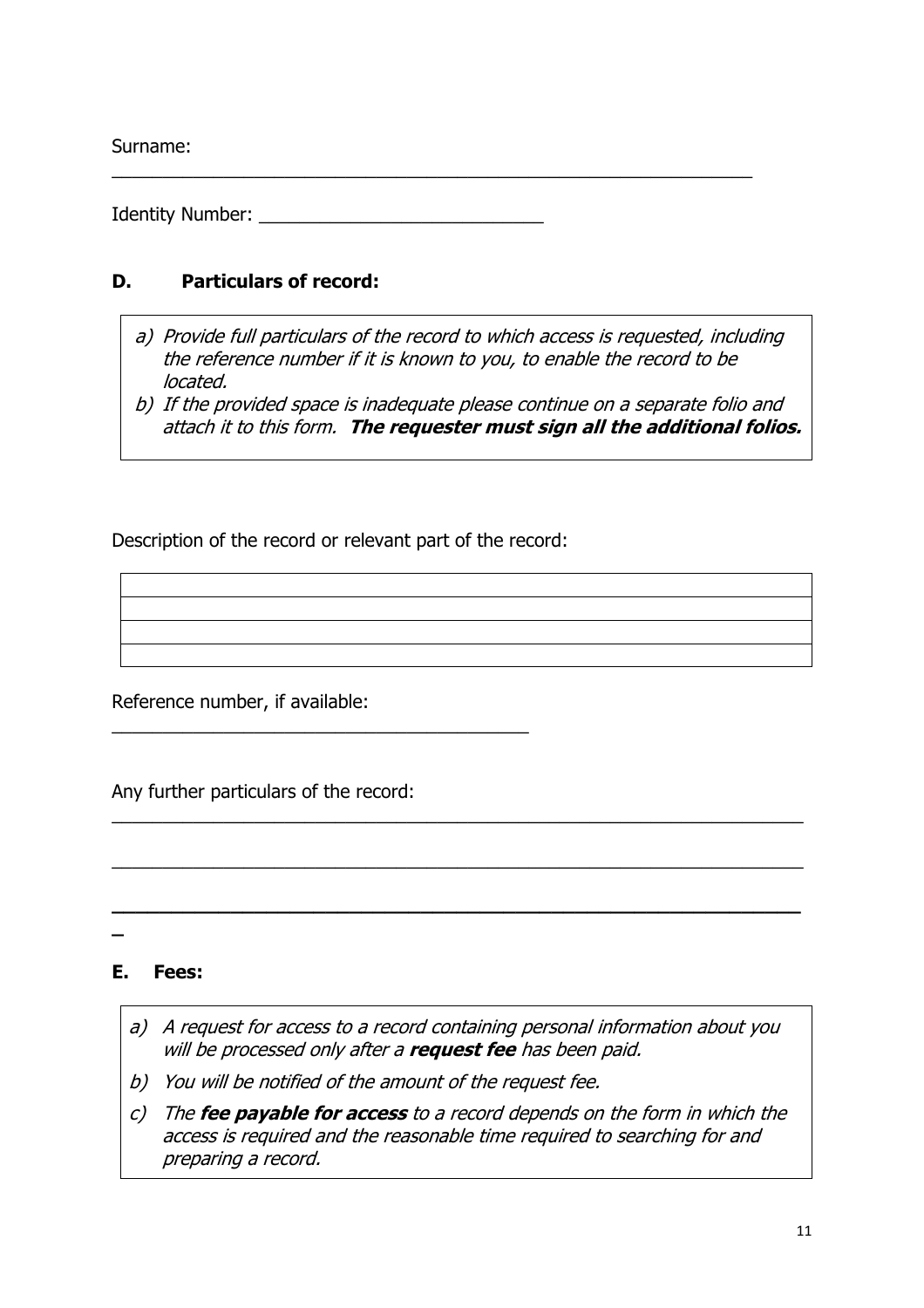Surname:

Identity Number:  $\blacksquare$ 

# **D. Particulars of record:**

*a) Provide full particulars of the record to which access is requested, including the reference number if it is known to you, to enable the record to be located.*

\_\_\_\_\_\_\_\_\_\_\_\_\_\_\_\_\_\_\_\_\_\_\_\_\_\_\_\_\_\_\_\_\_\_\_\_\_\_\_\_\_\_\_\_\_\_\_\_\_\_\_\_\_\_\_\_\_\_\_\_\_\_\_

*b) If the provided space is inadequate please continue on <sup>a</sup> separate folio and attach it to this form. The requester must sign all the additional folios.*

Description of the record or relevant part of the record:

\_\_\_\_\_\_\_\_\_\_\_\_\_\_\_\_\_\_\_\_\_\_\_\_\_\_\_\_\_\_\_\_\_\_\_\_\_\_\_\_\_

Reference number, if available:

Any further particulars of the record:

# **E. Fees:**

**\_**

*a) A request for access to <sup>a</sup> record containing personal information about you will be processed only after <sup>a</sup> request fee has been paid.*

 $\overline{a_1}$  ,  $\overline{a_2}$  ,  $\overline{a_3}$  ,  $\overline{a_4}$  ,  $\overline{a_5}$  ,  $\overline{a_6}$  ,  $\overline{a_7}$  ,  $\overline{a_8}$  ,  $\overline{a_9}$  ,  $\overline{a_9}$  ,  $\overline{a_1}$  ,  $\overline{a_2}$  ,  $\overline{a_3}$  ,  $\overline{a_4}$  ,  $\overline{a_5}$  ,  $\overline{a_7}$  ,  $\overline{a_8}$  ,

 $\overline{a_1}$  ,  $\overline{a_2}$  ,  $\overline{a_3}$  ,  $\overline{a_4}$  ,  $\overline{a_5}$  ,  $\overline{a_6}$  ,  $\overline{a_7}$  ,  $\overline{a_8}$  ,  $\overline{a_9}$  ,  $\overline{a_9}$  ,  $\overline{a_1}$  ,  $\overline{a_2}$  ,  $\overline{a_3}$  ,  $\overline{a_4}$  ,  $\overline{a_5}$  ,  $\overline{a_7}$  ,  $\overline{a_8}$  ,

**\_\_\_\_\_\_\_\_\_\_\_\_\_\_\_\_\_\_\_\_\_\_\_\_\_\_\_\_\_\_\_\_\_\_\_\_\_\_\_\_\_\_\_\_\_\_\_\_\_\_\_\_\_\_\_\_\_\_**

- *b) You will be notified of the amount of the request fee.*
- *c) The fee payable for access to <sup>a</sup> record depends on the form in which the access is required and the reasonable time required to searching for and preparing <sup>a</sup> record.*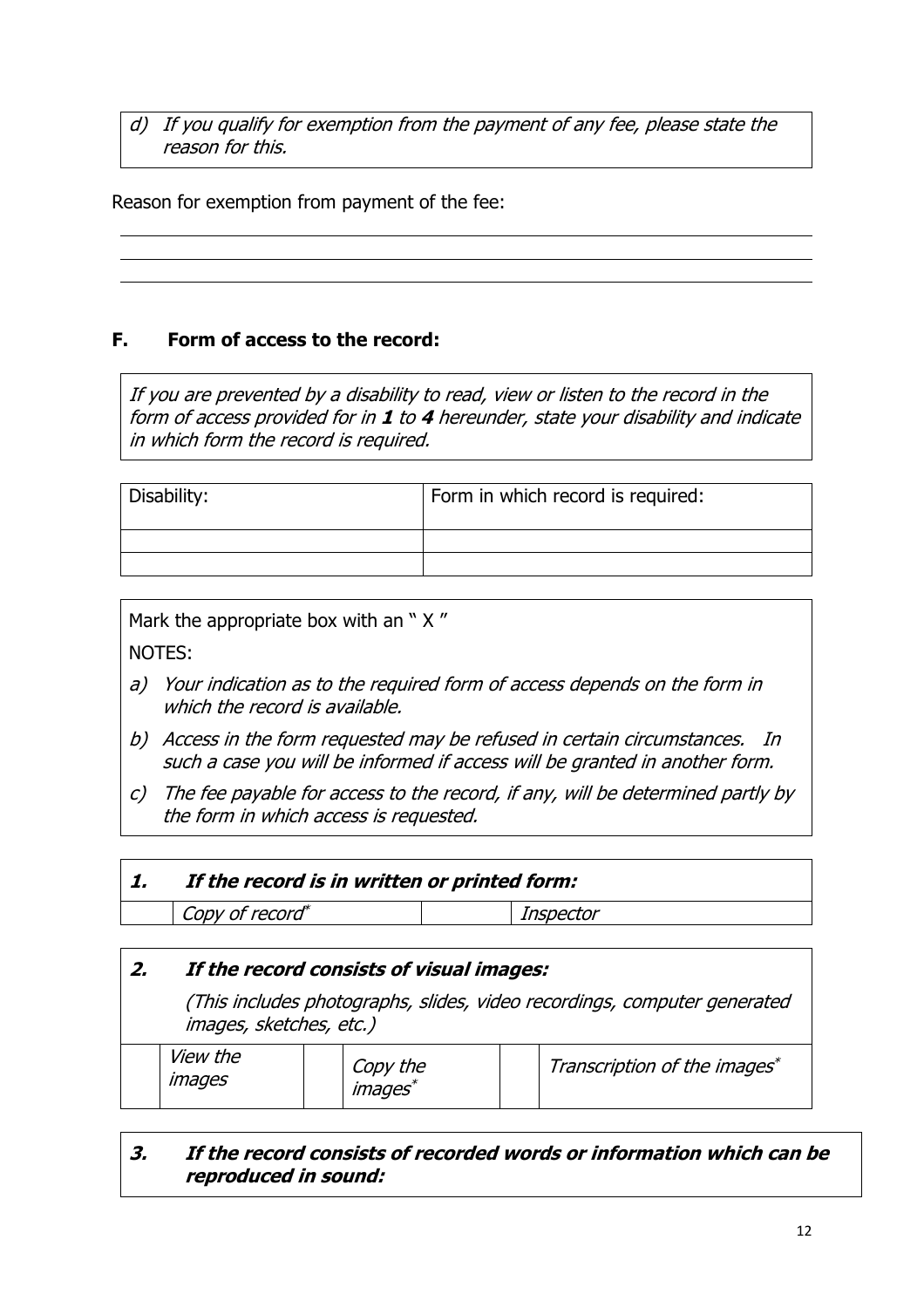*d) If you qualify for exemption from the payment of any fee, please state the reason for this.*

Reason for exemption from payment of the fee:

### **F. Form of access to the record:**

*If you are prevented by <sup>a</sup> disability to read, view or listen to the record in the form of access provided for in 1 to 4 hereunder, state your disability and indicate in which form the record is required.*

| Disability: | Form in which record is required: |
|-------------|-----------------------------------|
|             |                                   |
|             |                                   |

Mark the appropriate box with an " X " NOTES:

- *a) Your indication as to the required form of access depends on the form in which the record is available.*
- *b) Access in the form requested may be refused in certain circumstances. In such <sup>a</sup> case you will be informed if access will be granted in another form.*
- *c) The fee payable for access to the record, if any, will be determined partly by the form in which access is requested.*

|  | 1. |  |  | If the record is in written or printed form: |
|--|----|--|--|----------------------------------------------|
|--|----|--|--|----------------------------------------------|

*Copy of record \**

*2. If the record consists of visual images:*

*(This includes photographs, slides, video recordings, computer generated images, sketches, etc.)*

*Inspector*

|  | <i>View the</i><br><i>images</i> |  | Copy the<br><i>images</i> |  | Transcription of the images* |
|--|----------------------------------|--|---------------------------|--|------------------------------|
|--|----------------------------------|--|---------------------------|--|------------------------------|

# *3. If the record consists of recorded words or information which can be reproduced in sound:*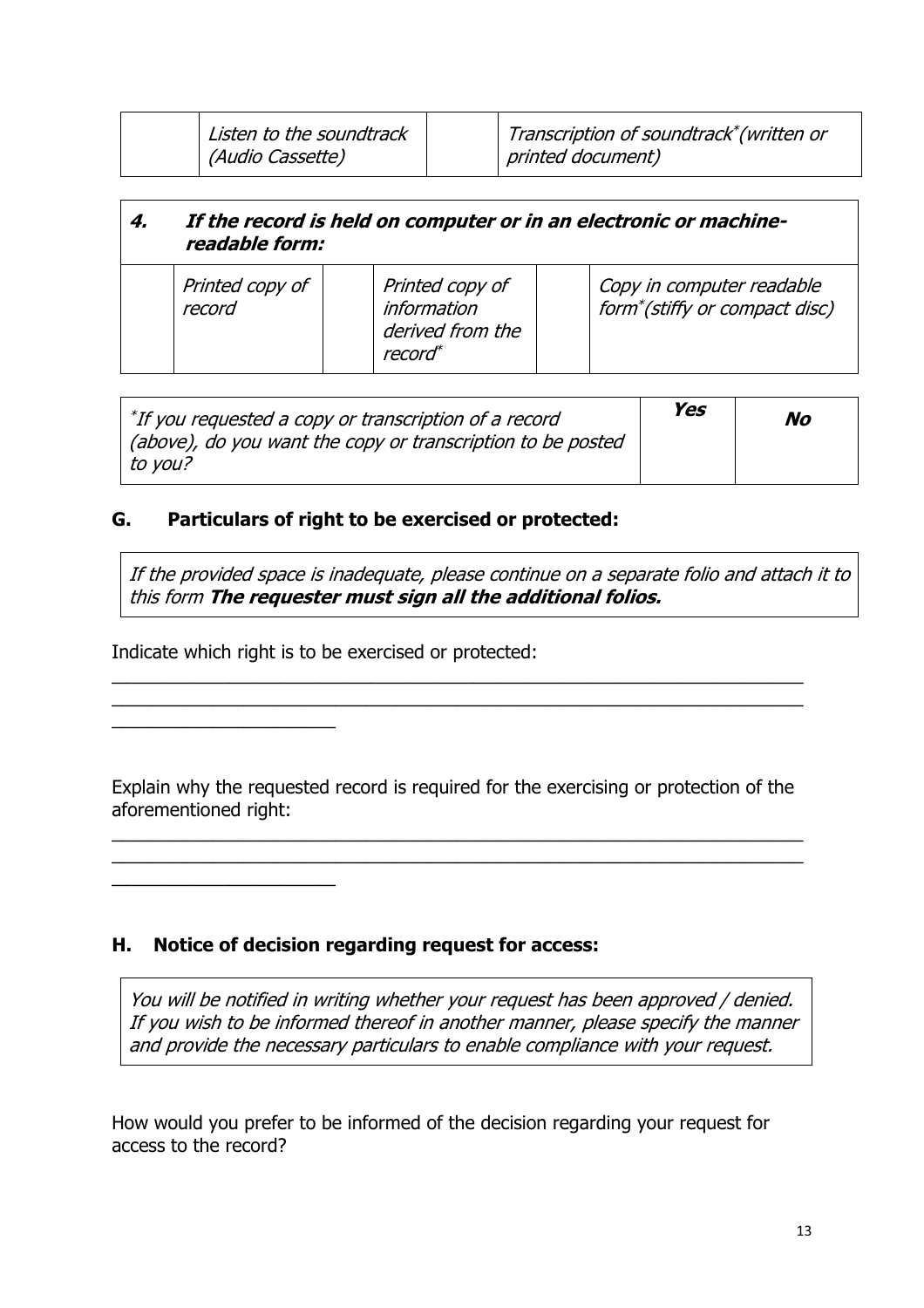| Listen to the soundtrack<br>(Audio Cassette) | Transcription of soundtrack*(written or<br>printed document) |
|----------------------------------------------|--------------------------------------------------------------|
|                                              |                                                              |

| 4. | If the record is held on computer or in an electronic or machine-<br>readable form: |  |                                                                                  |  |                                                                         |  |
|----|-------------------------------------------------------------------------------------|--|----------------------------------------------------------------------------------|--|-------------------------------------------------------------------------|--|
|    | Printed copy of<br>record                                                           |  | Printed copy of<br><i>information</i><br>derived from the<br>record <sup>*</sup> |  | Copy in computer readable<br>form <sup>*</sup> (stiffy or compact disc) |  |

| $^*$ If you requested a copy or transcription of a record   | Yes | No |
|-------------------------------------------------------------|-----|----|
| (above), do you want the copy or transcription to be posted |     |    |
| $\mid$ to you?                                              |     |    |

#### **G. Particulars of right to be exercised or protected:**

*If the provided space is inadequate, please continue on <sup>a</sup> separate folio and attach it to this form The requester must sign all the additional folios.*

Indicate which right is to be exercised or protected:

\_\_\_\_\_\_\_\_\_\_\_\_\_\_\_\_\_\_\_\_\_\_

\_\_\_\_\_\_\_\_\_\_\_\_\_\_\_\_\_\_\_\_\_\_

Explain why the requested record is required for the exercising or protection of the aforementioned right:

 $\overline{a_1}$  ,  $\overline{a_2}$  ,  $\overline{a_3}$  ,  $\overline{a_4}$  ,  $\overline{a_5}$  ,  $\overline{a_6}$  ,  $\overline{a_7}$  ,  $\overline{a_8}$  ,  $\overline{a_9}$  ,  $\overline{a_9}$  ,  $\overline{a_1}$  ,  $\overline{a_2}$  ,  $\overline{a_3}$  ,  $\overline{a_4}$  ,  $\overline{a_5}$  ,  $\overline{a_7}$  ,  $\overline{a_8}$  ,  $\overline{a_1}$  ,  $\overline{a_2}$  ,  $\overline{a_3}$  ,  $\overline{a_4}$  ,  $\overline{a_5}$  ,  $\overline{a_6}$  ,  $\overline{a_7}$  ,  $\overline{a_8}$  ,  $\overline{a_9}$  ,  $\overline{a_9}$  ,  $\overline{a_1}$  ,  $\overline{a_2}$  ,  $\overline{a_3}$  ,  $\overline{a_4}$  ,  $\overline{a_5}$  ,  $\overline{a_7}$  ,  $\overline{a_8}$  ,

 $\overline{a_1}$  ,  $\overline{a_2}$  ,  $\overline{a_3}$  ,  $\overline{a_4}$  ,  $\overline{a_5}$  ,  $\overline{a_6}$  ,  $\overline{a_7}$  ,  $\overline{a_8}$  ,  $\overline{a_9}$  ,  $\overline{a_9}$  ,  $\overline{a_1}$  ,  $\overline{a_2}$  ,  $\overline{a_3}$  ,  $\overline{a_4}$  ,  $\overline{a_5}$  ,  $\overline{a_7}$  ,  $\overline{a_8}$  ,  $\overline{a_1}$  ,  $\overline{a_2}$  ,  $\overline{a_3}$  ,  $\overline{a_4}$  ,  $\overline{a_5}$  ,  $\overline{a_6}$  ,  $\overline{a_7}$  ,  $\overline{a_8}$  ,  $\overline{a_9}$  ,  $\overline{a_9}$  ,  $\overline{a_1}$  ,  $\overline{a_2}$  ,  $\overline{a_3}$  ,  $\overline{a_4}$  ,  $\overline{a_5}$  ,  $\overline{a_7}$  ,  $\overline{a_8}$  ,

#### **H. Notice of decision regarding request for access:**

*You will be notified in writing whether your request has been approved / denied. If you wish to be informed thereof in another manner, please specify the manner and provide the necessary particulars to enable compliance with your request.*

How would you prefer to be informed of the decision regarding your request for access to the record?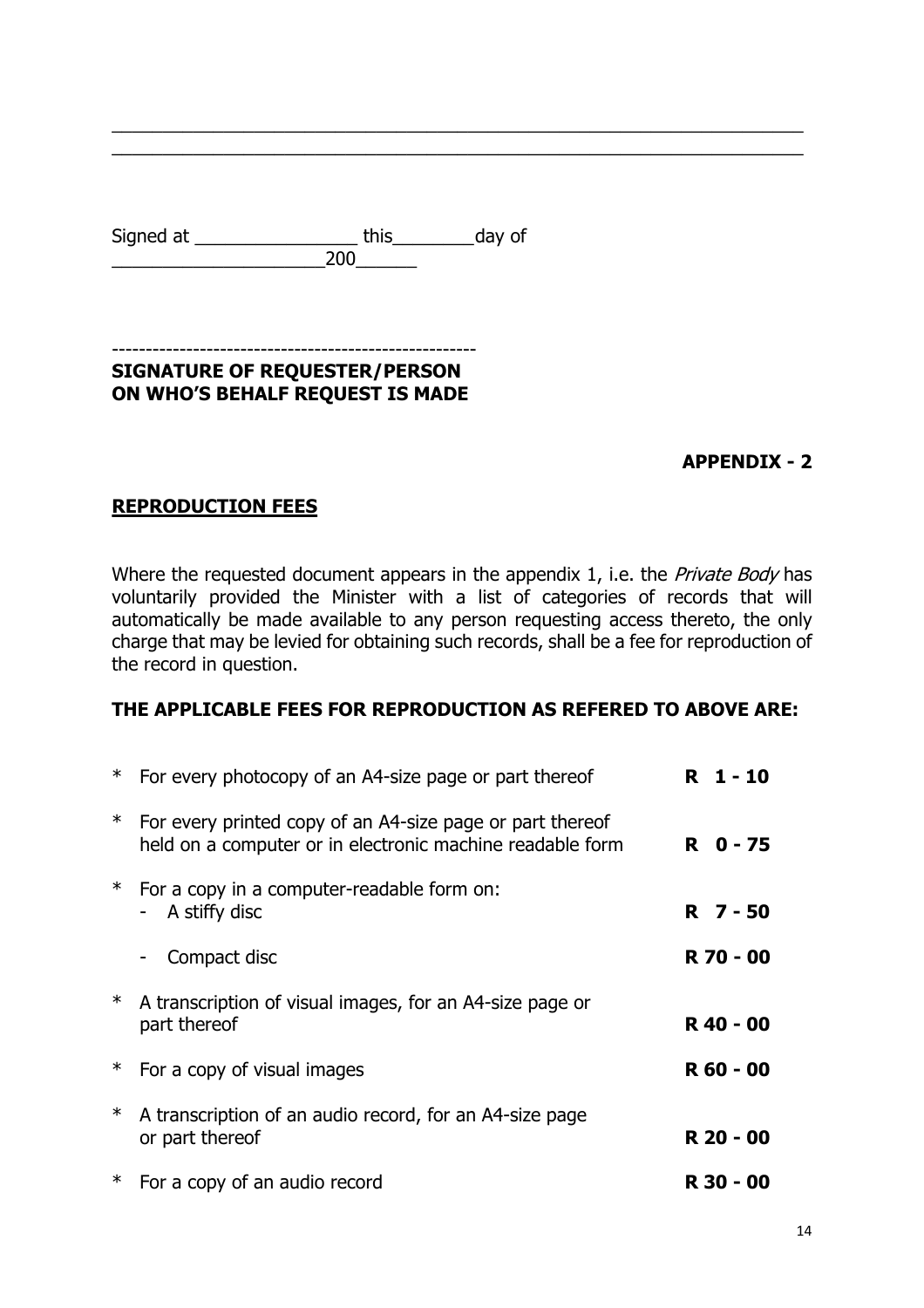| Signed at | this | day of |
|-----------|------|--------|
|           | 200  |        |

#### ------------------------------------------------------ **SIGNATURE OF REQUESTER/PERSON ON WHO'S BEHALF REQUEST IS MADE**

### **APPENDIX - 2**

### <span id="page-15-0"></span>**REPRODUCTION FEES**

Where the requested document appears in the appendix 1, i.e. the *Private Body* has voluntarily provided the Minister with a list of categories of records that will automatically be made available to any person requesting access thereto, the only charge that may be levied for obtaining such records, shall be a fee for reproduction of the record in question.

 $\overline{a_1}$  ,  $\overline{a_2}$  ,  $\overline{a_3}$  ,  $\overline{a_4}$  ,  $\overline{a_5}$  ,  $\overline{a_6}$  ,  $\overline{a_7}$  ,  $\overline{a_8}$  ,  $\overline{a_9}$  ,  $\overline{a_9}$  ,  $\overline{a_1}$  ,  $\overline{a_2}$  ,  $\overline{a_3}$  ,  $\overline{a_4}$  ,  $\overline{a_5}$  ,  $\overline{a_7}$  ,  $\overline{a_8}$  ,  $\overline{a_1}$  ,  $\overline{a_2}$  ,  $\overline{a_3}$  ,  $\overline{a_4}$  ,  $\overline{a_5}$  ,  $\overline{a_6}$  ,  $\overline{a_7}$  ,  $\overline{a_8}$  ,  $\overline{a_9}$  ,  $\overline{a_9}$  ,  $\overline{a_1}$  ,  $\overline{a_2}$  ,  $\overline{a_3}$  ,  $\overline{a_4}$  ,  $\overline{a_5}$  ,  $\overline{a_7}$  ,  $\overline{a_8}$  ,

#### **THE APPLICABLE FEES FOR REPRODUCTION AS REFERED TO ABOVE ARE:**

| ∗      | For every photocopy of an A4-size page or part thereof                                                                 | R 1-10    |
|--------|------------------------------------------------------------------------------------------------------------------------|-----------|
| $\ast$ | For every printed copy of an A4-size page or part thereof<br>held on a computer or in electronic machine readable form | R 0-75    |
| ⋇      | For a copy in a computer-readable form on:<br>A stiffy disc<br>$\blacksquare$                                          | R 7-50    |
|        | Compact disc                                                                                                           | R 70 - 00 |
| $\ast$ | A transcription of visual images, for an A4-size page or<br>part thereof                                               | R 40 - 00 |
| ∗      | For a copy of visual images                                                                                            | R 60 - 00 |
| $\ast$ | A transcription of an audio record, for an A4-size page<br>or part thereof                                             | R 20 - 00 |
| ∗      | For a copy of an audio record                                                                                          | R 30 - 00 |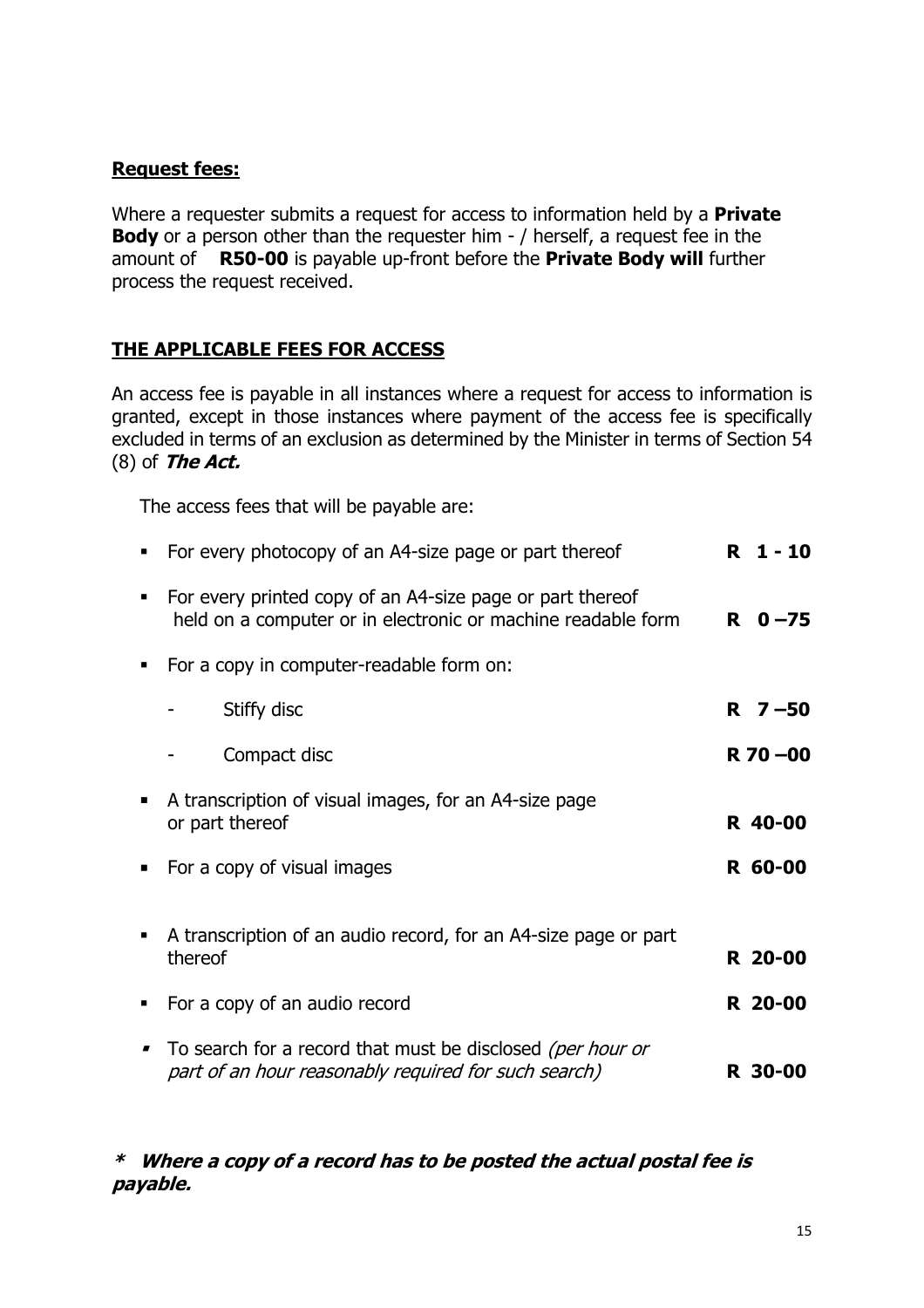### **Request fees:**

Where a requester submits a request for access to information held by a **Private Body** or a person other than the requester him - / herself, a request fee in the amount of **R50-00** is payable up-front before the **Private Body will** further process the request received.

# **THE APPLICABLE FEES FOR ACCESS**

An access fee is payable in all instances where a request for access to information is granted, except in those instances where payment of the access fee is specifically excluded in terms of an exclusion as determined by the Minister in terms of Section 54 (8) of *The Act.*

The access fees that will be payable are:

| For every photocopy of an A4-size page or part thereof                                                                    | $1 - 10$<br>R |
|---------------------------------------------------------------------------------------------------------------------------|---------------|
| For every printed copy of an A4-size page or part thereof<br>held on a computer or in electronic or machine readable form | $R \t 0 - 75$ |
| For a copy in computer-readable form on:                                                                                  |               |
| Stiffy disc                                                                                                               | $R \, 7 - 50$ |
| Compact disc                                                                                                              | $R$ 70 $-00$  |
| A transcription of visual images, for an A4-size page<br>or part thereof                                                  | R 40-00       |
| For a copy of visual images                                                                                               | R 60-00       |
| A transcription of an audio record, for an A4-size page or part<br>thereof                                                | R 20-00       |
| For a copy of an audio record                                                                                             | R 20-00       |
| To search for a record that must be disclosed (per hour or<br>part of an hour reasonably required for such search)        | R 30-00       |

#### *\* Where <sup>a</sup> copy of <sup>a</sup> record has to be posted the actual postal fee is payable.*